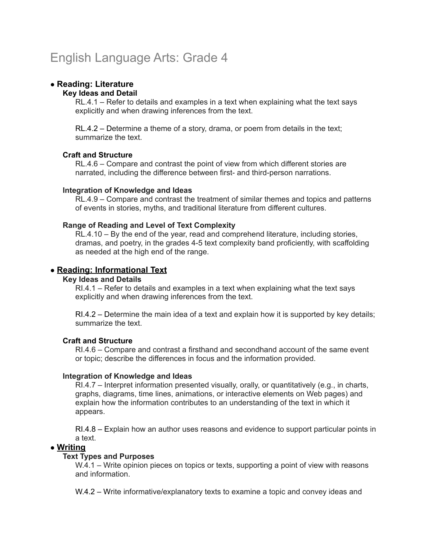# English Language Arts: Grade 4

# ● **Reading: Literature**

#### **Key Ideas and Detail**

RL.4.1 – Refer to details and examples in a text when explaining what the text says explicitly and when drawing inferences from the text.

RL.4.2 – Determine a theme of a story, drama, or poem from details in the text; summarize the text.

## **Craft and Structure**

RL.4.6 – Compare and contrast the point of view from which different stories are narrated, including the difference between first- and third-person narrations.

## **Integration of Knowledge and Ideas**

RL.4.9 – Compare and contrast the treatment of similar themes and topics and patterns of events in stories, myths, and traditional literature from different cultures.

## **Range of Reading and Level of Text Complexity**

RL.4.10 – By the end of the year, read and comprehend literature, including stories, dramas, and poetry, in the grades 4-5 text complexity band proficiently, with scaffolding as needed at the high end of the range.

# ● **Reading: Informational Text**

#### **Key Ideas and Details**

RI.4.1 – Refer to details and examples in a text when explaining what the text says explicitly and when drawing inferences from the text.

RI.4.2 – Determine the main idea of a text and explain how it is supported by key details; summarize the text.

# **Craft and Structure**

RI.4.6 – Compare and contrast a firsthand and secondhand account of the same event or topic; describe the differences in focus and the information provided.

#### **Integration of Knowledge and Ideas**

RI.4.7 – Interpret information presented visually, orally, or quantitatively (e.g., in charts, graphs, diagrams, time lines, animations, or interactive elements on Web pages) and explain how the information contributes to an understanding of the text in which it appears.

RI.4.8 – Explain how an author uses reasons and evidence to support particular points in a text.

# ● **Writing**

## **Text Types and Purposes**

W.4.1 – Write opinion pieces on topics or texts, supporting a point of view with reasons and information.

W.4.2 – Write informative/explanatory texts to examine a topic and convey ideas and